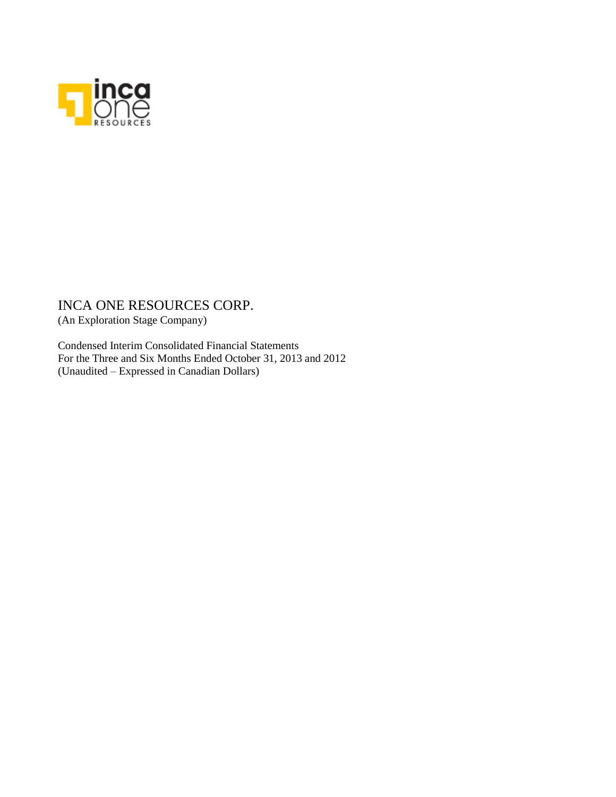

(An Exploration Stage Company)

Condensed Interim Consolidated Financial Statements For the Three and Six Months Ended October 31, 2013 and 2012 (Unaudited – Expressed in Canadian Dollars)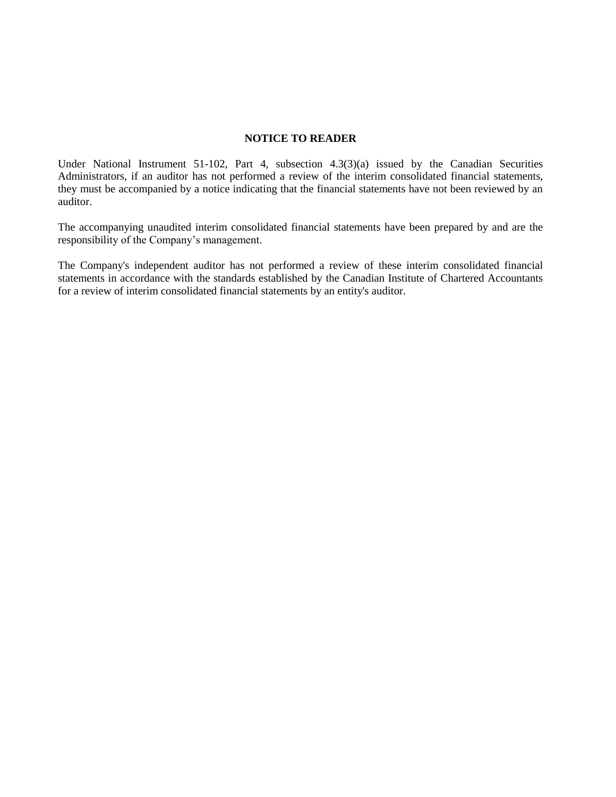### **NOTICE TO READER**

Under National Instrument 51-102, Part 4, subsection 4.3(3)(a) issued by the Canadian Securities Administrators, if an auditor has not performed a review of the interim consolidated financial statements, they must be accompanied by a notice indicating that the financial statements have not been reviewed by an auditor.

The accompanying unaudited interim consolidated financial statements have been prepared by and are the responsibility of the Company's management.

The Company's independent auditor has not performed a review of these interim consolidated financial statements in accordance with the standards established by the Canadian Institute of Chartered Accountants for a review of interim consolidated financial statements by an entity's auditor.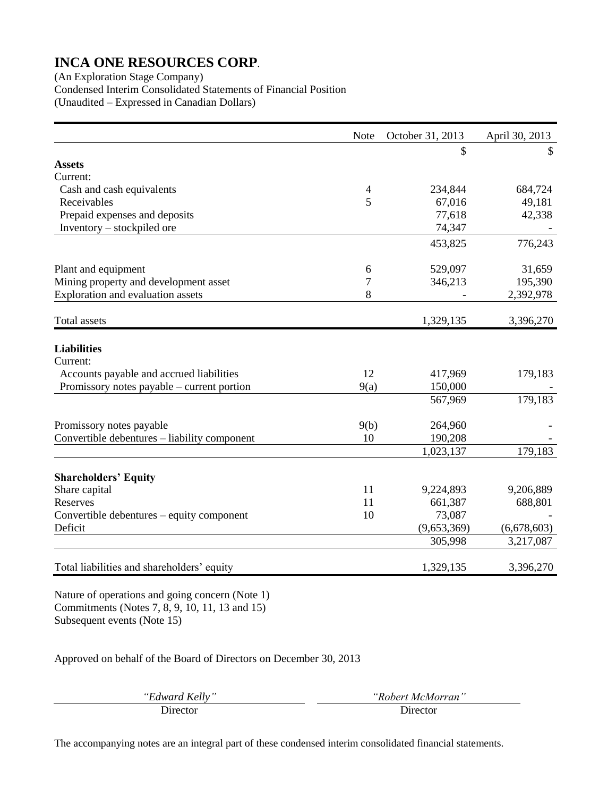(An Exploration Stage Company) Condensed Interim Consolidated Statements of Financial Position (Unaudited – Expressed in Canadian Dollars)

|                                              | Note | October 31, 2013 | April 30, 2013 |
|----------------------------------------------|------|------------------|----------------|
|                                              |      | \$               | \$             |
| <b>Assets</b>                                |      |                  |                |
| Current:                                     |      |                  |                |
| Cash and cash equivalents                    | 4    | 234,844          | 684,724        |
| Receivables                                  | 5    | 67,016           | 49,181         |
| Prepaid expenses and deposits                |      | 77,618           | 42,338         |
| Inventory – stockpiled ore                   |      | 74,347           |                |
|                                              |      | 453,825          | 776,243        |
| Plant and equipment                          | 6    | 529,097          | 31,659         |
| Mining property and development asset        | 7    | 346,213          | 195,390        |
| Exploration and evaluation assets            | 8    |                  | 2,392,978      |
| <b>Total</b> assets                          |      | 1,329,135        | 3,396,270      |
| <b>Liabilities</b>                           |      |                  |                |
| Current:                                     |      |                  |                |
| Accounts payable and accrued liabilities     | 12   | 417,969          | 179,183        |
| Promissory notes payable – current portion   | 9(a) | 150,000          |                |
|                                              |      | 567,969          | 179,183        |
| Promissory notes payable                     | 9(b) | 264,960          |                |
| Convertible debentures - liability component | 10   | 190,208          |                |
|                                              |      | 1,023,137        | 179,183        |
| <b>Shareholders' Equity</b>                  |      |                  |                |
| Share capital                                | 11   | 9,224,893        | 9,206,889      |
| Reserves                                     | 11   | 661,387          | 688,801        |
| Convertible debentures – equity component    | 10   | 73,087           |                |
| Deficit                                      |      | (9,653,369)      | (6,678,603)    |
|                                              |      | 305,998          | 3,217,087      |
| Total liabilities and shareholders' equity   |      | 1,329,135        | 3,396,270      |
|                                              |      |                  |                |

Nature of operations and going concern (Note 1) Commitments (Notes 7, 8, 9, 10, 11, 13 and 15) Subsequent events (Note 15)

Approved on behalf of the Board of Directors on December 30, 2013

| "Edward Kelly" | "Robert McMo |
|----------------|--------------|
| Director       | Director     |

*"Edward Kelly" "Robert McMorran"*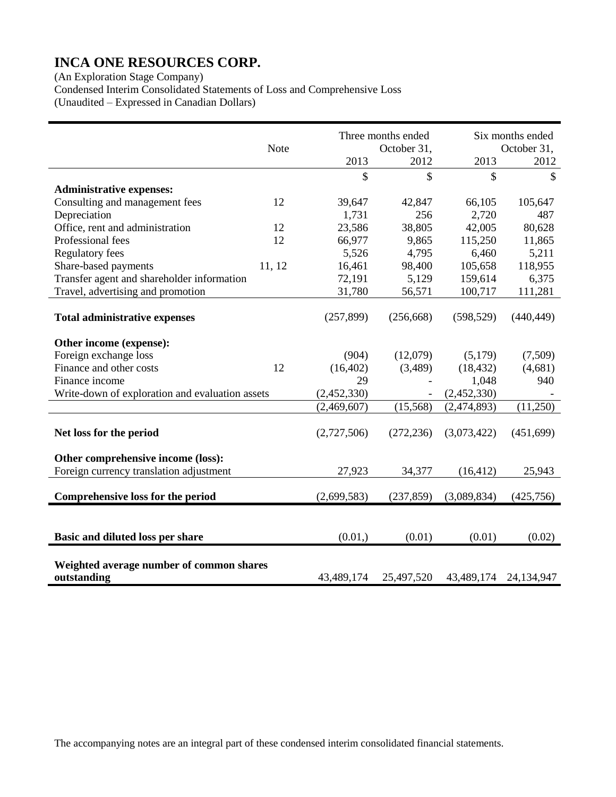(An Exploration Stage Company)

Condensed Interim Consolidated Statements of Loss and Comprehensive Loss

(Unaudited – Expressed in Canadian Dollars)

|                                                 |             |             | Three months ended |             | Six months ended |
|-------------------------------------------------|-------------|-------------|--------------------|-------------|------------------|
|                                                 | <b>Note</b> |             | October 31,        |             | October 31,      |
|                                                 |             | 2013        | 2012               | 2013        | 2012             |
|                                                 |             | \$          | \$                 | \$          | \$               |
| <b>Administrative expenses:</b>                 |             |             |                    |             |                  |
| Consulting and management fees                  | 12          | 39,647      | 42,847             | 66,105      | 105,647          |
| Depreciation                                    |             | 1,731       | 256                | 2,720       | 487              |
| Office, rent and administration                 | 12          | 23,586      | 38,805             | 42,005      | 80,628           |
| Professional fees                               | 12          | 66,977      | 9,865              | 115,250     | 11,865           |
| <b>Regulatory fees</b>                          |             | 5,526       | 4,795              | 6,460       | 5,211            |
| Share-based payments                            | 11, 12      | 16,461      | 98,400             | 105,658     | 118,955          |
| Transfer agent and shareholder information      |             | 72,191      | 5,129              | 159,614     | 6,375            |
| Travel, advertising and promotion               |             | 31,780      | 56,571             | 100,717     | 111,281          |
|                                                 |             |             |                    |             |                  |
| <b>Total administrative expenses</b>            |             | (257, 899)  | (256, 668)         | (598, 529)  | (440, 449)       |
|                                                 |             |             |                    |             |                  |
| Other income (expense):                         |             |             |                    |             |                  |
| Foreign exchange loss                           |             | (904)       | (12,079)           | (5,179)     | (7,509)          |
| Finance and other costs                         | 12          | (16, 402)   | (3,489)            | (18, 432)   | (4,681)          |
| Finance income                                  |             | 29          |                    | 1,048       | 940              |
| Write-down of exploration and evaluation assets |             | (2,452,330) |                    | (2,452,330) |                  |
|                                                 |             | (2,469,607) | (15, 568)          | (2,474,893) | (11,250)         |
|                                                 |             |             |                    |             |                  |
| Net loss for the period                         |             | (2,727,506) | (272, 236)         | (3,073,422) | (451,699)        |
|                                                 |             |             |                    |             |                  |
| Other comprehensive income (loss):              |             |             |                    |             |                  |
| Foreign currency translation adjustment         |             | 27,923      | 34,377             | (16, 412)   | 25,943           |
|                                                 |             |             |                    |             |                  |
| Comprehensive loss for the period               |             | (2,699,583) | (237, 859)         | (3,089,834) | (425,756)        |
|                                                 |             |             |                    |             |                  |
|                                                 |             |             |                    |             |                  |
| Basic and diluted loss per share                |             | (0.01, )    | (0.01)             | (0.01)      | (0.02)           |
|                                                 |             |             |                    |             |                  |
| Weighted average number of common shares        |             |             |                    |             |                  |
| outstanding                                     |             | 43,489,174  | 25,497,520         | 43,489,174  | 24,134,947       |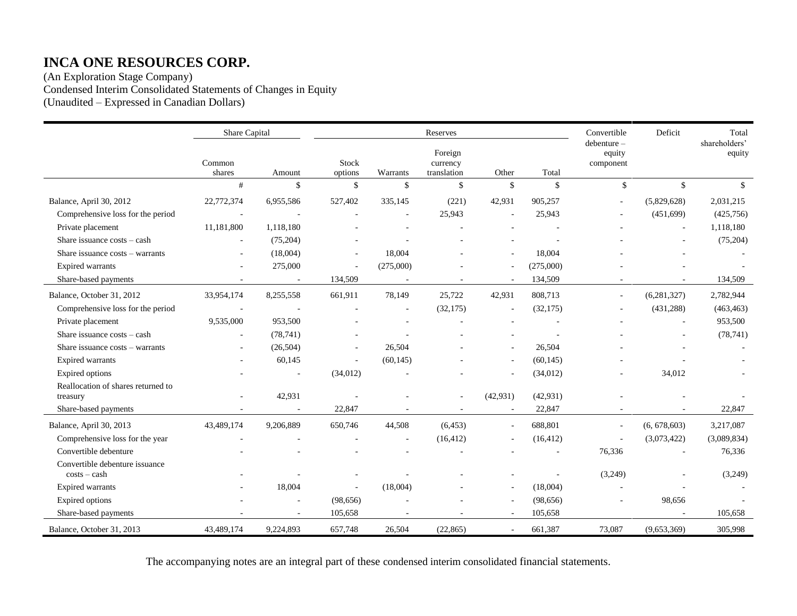(An Exploration Stage Company) Condensed Interim Consolidated Statements of Changes in Equity (Unaudited – Expressed in Canadian Dollars)

|                                                | Share Capital    |           |                  |              | Reserves                           |                    |           | Convertible                       | Deficit       | Total                   |
|------------------------------------------------|------------------|-----------|------------------|--------------|------------------------------------|--------------------|-----------|-----------------------------------|---------------|-------------------------|
|                                                | Common<br>shares | Amount    | Stock<br>options | Warrants     | Foreign<br>currency<br>translation | Other              | Total     | debenture-<br>equity<br>component |               | shareholders'<br>equity |
|                                                | #                | \$        | \$               | $\mathbb{S}$ | $\mathbb{S}$                       | $\mathbf{\hat{S}}$ | \$        | $\mathbb{S}$                      | $\mathbb{S}$  | $\mathcal{S}$           |
| Balance, April 30, 2012                        | 22,772,374       | 6,955,586 | 527,402          | 335,145      | (221)                              | 42,931             | 905,257   |                                   | (5,829,628)   | 2,031,215               |
| Comprehensive loss for the period              |                  |           |                  | $\sim$       | 25,943                             |                    | 25,943    |                                   | (451,699)     | (425,756)               |
| Private placement                              | 11,181,800       | 1,118,180 |                  |              |                                    |                    |           |                                   |               | 1,118,180               |
| Share issuance costs - cash                    |                  | (75,204)  |                  |              |                                    |                    |           |                                   |               | (75,204)                |
| Share issuance costs - warrants                |                  | (18,004)  |                  | 18,004       |                                    |                    | 18,004    |                                   |               |                         |
| <b>Expired warrants</b>                        |                  | 275,000   | ä,               | (275,000)    |                                    |                    | (275,000) |                                   |               |                         |
| Share-based payments                           |                  |           | 134,509          |              |                                    | $\sim$             | 134,509   |                                   |               | 134,509                 |
| Balance, October 31, 2012                      | 33,954,174       | 8,255,558 | 661,911          | 78,149       | 25,722                             | 42,931             | 808,713   |                                   | (6, 281, 327) | 2,782,944               |
| Comprehensive loss for the period              |                  |           |                  |              | (32, 175)                          |                    | (32,175)  |                                   | (431, 288)    | (463, 463)              |
| Private placement                              | 9,535,000        | 953,500   |                  |              |                                    |                    |           |                                   |               | 953,500                 |
| Share issuance costs - cash                    |                  | (78, 741) |                  |              |                                    |                    |           |                                   |               | (78, 741)               |
| Share issuance costs – warrants                |                  | (26,504)  | ä,               | 26,504       |                                    |                    | 26,504    |                                   |               |                         |
| <b>Expired warrants</b>                        |                  | 60,145    | ä,               | (60, 145)    |                                    |                    | (60, 145) |                                   |               |                         |
| <b>Expired</b> options                         |                  |           | (34, 012)        |              |                                    |                    | (34, 012) |                                   | 34,012        |                         |
| Reallocation of shares returned to<br>treasury |                  | 42,931    |                  |              |                                    | (42, 931)          | (42, 931) |                                   |               |                         |
| Share-based payments                           |                  |           | 22,847           |              |                                    |                    | 22,847    |                                   |               | 22,847                  |
| Balance, April 30, 2013                        | 43,489,174       | 9,206,889 | 650,746          | 44,508       | (6, 453)                           | $\sim$             | 688,801   | $\sim$                            | (6, 678, 603) | 3,217,087               |
| Comprehensive loss for the year                |                  |           |                  |              | (16, 412)                          |                    | (16, 412) |                                   | (3,073,422)   | (3,089,834)             |
| Convertible debenture                          |                  |           |                  |              |                                    |                    |           | 76,336                            |               | 76,336                  |
| Convertible debenture issuance                 |                  |           |                  |              |                                    |                    |           |                                   |               |                         |
| $costs - cash$                                 |                  |           |                  |              |                                    |                    |           | (3,249)                           |               | (3,249)                 |
| <b>Expired warrants</b>                        |                  | 18,004    | $\overline{a}$   | (18,004)     |                                    | $\sim$             | (18,004)  |                                   |               |                         |
| Expired options                                |                  |           | (98, 656)        |              |                                    | $\sim$             | (98, 656) |                                   | 98,656        |                         |
| Share-based payments                           |                  |           | 105,658          |              |                                    |                    | 105,658   |                                   |               | 105,658                 |
| Balance, October 31, 2013                      | 43,489,174       | 9.224.893 | 657,748          | 26,504       | (22, 865)                          | $\omega$           | 661,387   | 73,087                            | (9,653,369)   | 305,998                 |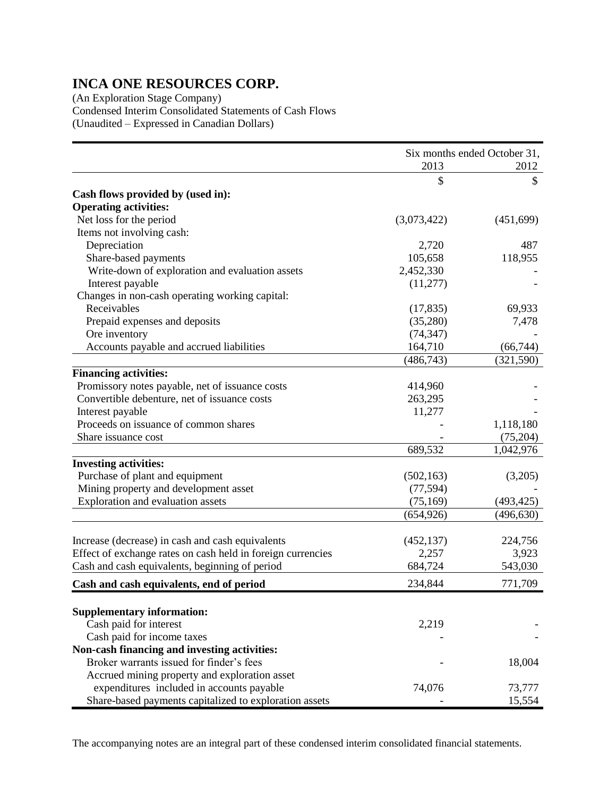(An Exploration Stage Company) Condensed Interim Consolidated Statements of Cash Flows (Unaudited – Expressed in Canadian Dollars)

|                                                             | Six months ended October 31, |            |
|-------------------------------------------------------------|------------------------------|------------|
|                                                             | 2013                         | 2012       |
|                                                             | \$                           | \$         |
| Cash flows provided by (used in):                           |                              |            |
| <b>Operating activities:</b>                                |                              |            |
| Net loss for the period                                     | (3,073,422)                  | (451,699)  |
| Items not involving cash:                                   |                              |            |
| Depreciation                                                | 2,720                        | 487        |
| Share-based payments                                        | 105,658                      | 118,955    |
| Write-down of exploration and evaluation assets             | 2,452,330                    |            |
| Interest payable                                            | (11, 277)                    |            |
| Changes in non-cash operating working capital:              |                              |            |
| Receivables                                                 | (17, 835)                    | 69,933     |
| Prepaid expenses and deposits                               | (35,280)                     | 7,478      |
| Ore inventory                                               | (74, 347)                    |            |
| Accounts payable and accrued liabilities                    | 164,710                      | (66, 744)  |
|                                                             | (486, 743)                   | (321, 590) |
| <b>Financing activities:</b>                                |                              |            |
| Promissory notes payable, net of issuance costs             | 414,960                      |            |
| Convertible debenture, net of issuance costs                | 263,295                      |            |
| Interest payable                                            | 11,277                       |            |
| Proceeds on issuance of common shares                       |                              | 1,118,180  |
| Share issuance cost                                         |                              | (75,204)   |
|                                                             | 689,532                      | 1,042,976  |
| <b>Investing activities:</b>                                |                              |            |
| Purchase of plant and equipment                             | (502, 163)                   | (3,205)    |
| Mining property and development asset                       | (77, 594)                    |            |
| Exploration and evaluation assets                           | (75, 169)                    | (493, 425) |
|                                                             | (654, 926)                   | (496, 630) |
|                                                             |                              |            |
| Increase (decrease) in cash and cash equivalents            | (452, 137)                   | 224,756    |
| Effect of exchange rates on cash held in foreign currencies | 2,257                        | 3,923      |
| Cash and cash equivalents, beginning of period              | 684,724                      | 543,030    |
| Cash and cash equivalents, end of period                    | 234,844                      | 771,709    |
|                                                             |                              |            |
| <b>Supplementary information:</b>                           |                              |            |
| Cash paid for interest                                      | 2,219                        |            |
| Cash paid for income taxes                                  |                              |            |
| Non-cash financing and investing activities:                |                              |            |
| Broker warrants issued for finder's fees                    |                              | 18,004     |
| Accrued mining property and exploration asset               |                              |            |
| expenditures included in accounts payable                   | 74,076                       | 73,777     |
| Share-based payments capitalized to exploration assets      |                              | 15,554     |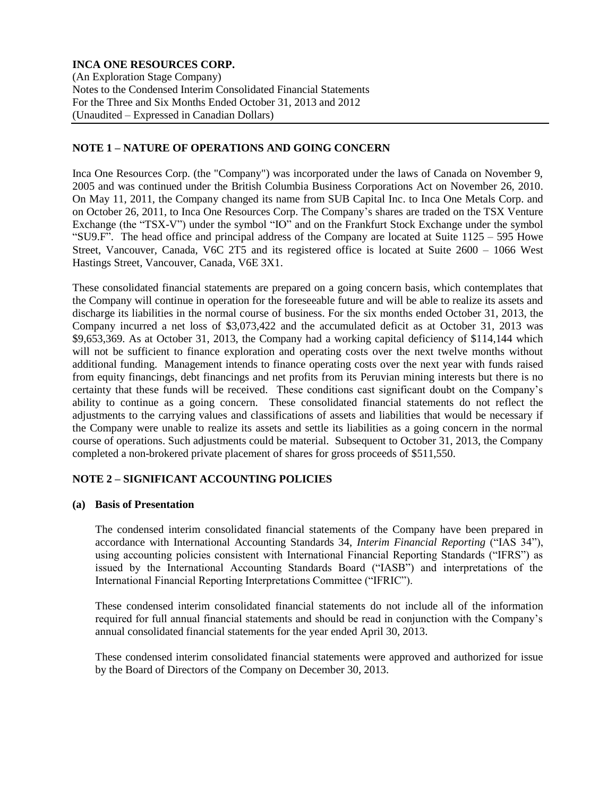(An Exploration Stage Company) Notes to the Condensed Interim Consolidated Financial Statements For the Three and Six Months Ended October 31, 2013 and 2012 (Unaudited – Expressed in Canadian Dollars)

## **NOTE 1 – NATURE OF OPERATIONS AND GOING CONCERN**

Inca One Resources Corp. (the "Company") was incorporated under the laws of Canada on November 9, 2005 and was continued under the British Columbia Business Corporations Act on November 26, 2010. On May 11, 2011, the Company changed its name from SUB Capital Inc. to Inca One Metals Corp. and on October 26, 2011, to Inca One Resources Corp. The Company's shares are traded on the TSX Venture Exchange (the "TSX-V") under the symbol "IO" and on the Frankfurt Stock Exchange under the symbol "SU9.F". The head office and principal address of the Company are located at Suite 1125 – 595 Howe Street, Vancouver, Canada, V6C 2T5 and its registered office is located at Suite 2600 – 1066 West Hastings Street, Vancouver, Canada, V6E 3X1.

These consolidated financial statements are prepared on a going concern basis, which contemplates that the Company will continue in operation for the foreseeable future and will be able to realize its assets and discharge its liabilities in the normal course of business. For the six months ended October 31, 2013, the Company incurred a net loss of \$3,073,422 and the accumulated deficit as at October 31, 2013 was \$9,653,369. As at October 31, 2013, the Company had a working capital deficiency of \$114,144 which will not be sufficient to finance exploration and operating costs over the next twelve months without additional funding. Management intends to finance operating costs over the next year with funds raised from equity financings, debt financings and net profits from its Peruvian mining interests but there is no certainty that these funds will be received. These conditions cast significant doubt on the Company's ability to continue as a going concern. These consolidated financial statements do not reflect the adjustments to the carrying values and classifications of assets and liabilities that would be necessary if the Company were unable to realize its assets and settle its liabilities as a going concern in the normal course of operations. Such adjustments could be material. Subsequent to October 31, 2013, the Company completed a non-brokered private placement of shares for gross proceeds of \$511,550.

## **NOTE 2 – SIGNIFICANT ACCOUNTING POLICIES**

#### **(a) Basis of Presentation**

The condensed interim consolidated financial statements of the Company have been prepared in accordance with International Accounting Standards 34, *Interim Financial Reporting* ("IAS 34"), using accounting policies consistent with International Financial Reporting Standards ("IFRS") as issued by the International Accounting Standards Board ("IASB") and interpretations of the International Financial Reporting Interpretations Committee ("IFRIC").

These condensed interim consolidated financial statements do not include all of the information required for full annual financial statements and should be read in conjunction with the Company's annual consolidated financial statements for the year ended April 30, 2013.

These condensed interim consolidated financial statements were approved and authorized for issue by the Board of Directors of the Company on December 30, 2013.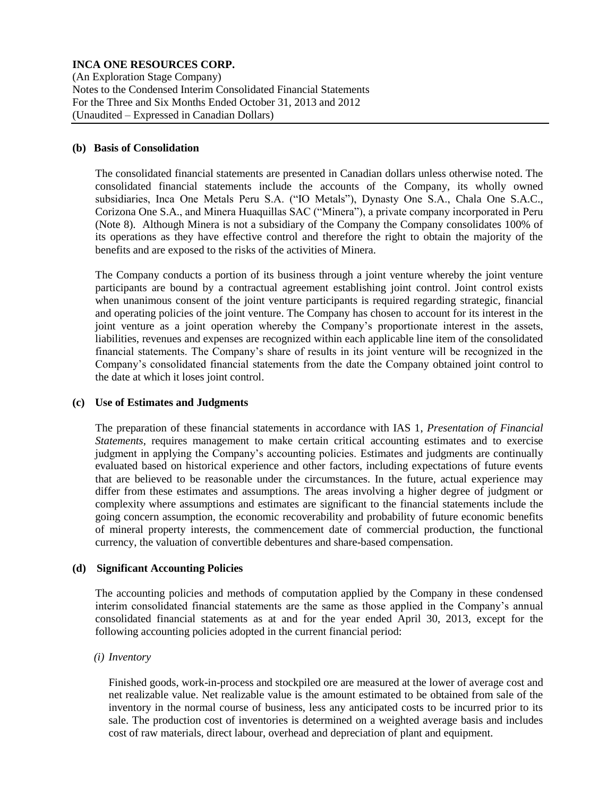(An Exploration Stage Company) Notes to the Condensed Interim Consolidated Financial Statements For the Three and Six Months Ended October 31, 2013 and 2012 (Unaudited – Expressed in Canadian Dollars)

### **(b) Basis of Consolidation**

The consolidated financial statements are presented in Canadian dollars unless otherwise noted. The consolidated financial statements include the accounts of the Company, its wholly owned subsidiaries, Inca One Metals Peru S.A. ("IO Metals"), Dynasty One S.A., Chala One S.A.C., Corizona One S.A., and Minera Huaquillas SAC ("Minera"), a private company incorporated in Peru (Note 8). Although Minera is not a subsidiary of the Company the Company consolidates 100% of its operations as they have effective control and therefore the right to obtain the majority of the benefits and are exposed to the risks of the activities of Minera.

The Company conducts a portion of its business through a joint venture whereby the joint venture participants are bound by a contractual agreement establishing joint control. Joint control exists when unanimous consent of the joint venture participants is required regarding strategic, financial and operating policies of the joint venture. The Company has chosen to account for its interest in the joint venture as a joint operation whereby the Company's proportionate interest in the assets, liabilities, revenues and expenses are recognized within each applicable line item of the consolidated financial statements. The Company's share of results in its joint venture will be recognized in the Company's consolidated financial statements from the date the Company obtained joint control to the date at which it loses joint control.

### **(c) Use of Estimates and Judgments**

The preparation of these financial statements in accordance with IAS 1, *Presentation of Financial Statements*, requires management to make certain critical accounting estimates and to exercise judgment in applying the Company's accounting policies. Estimates and judgments are continually evaluated based on historical experience and other factors, including expectations of future events that are believed to be reasonable under the circumstances. In the future, actual experience may differ from these estimates and assumptions. The areas involving a higher degree of judgment or complexity where assumptions and estimates are significant to the financial statements include the going concern assumption, the economic recoverability and probability of future economic benefits of mineral property interests, the commencement date of commercial production, the functional currency, the valuation of convertible debentures and share-based compensation.

## **(d) Significant Accounting Policies**

The accounting policies and methods of computation applied by the Company in these condensed interim consolidated financial statements are the same as those applied in the Company's annual consolidated financial statements as at and for the year ended April 30, 2013, except for the following accounting policies adopted in the current financial period:

#### *(i) Inventory*

Finished goods, work-in-process and stockpiled ore are measured at the lower of average cost and net realizable value. Net realizable value is the amount estimated to be obtained from sale of the inventory in the normal course of business, less any anticipated costs to be incurred prior to its sale. The production cost of inventories is determined on a weighted average basis and includes cost of raw materials, direct labour, overhead and depreciation of plant and equipment.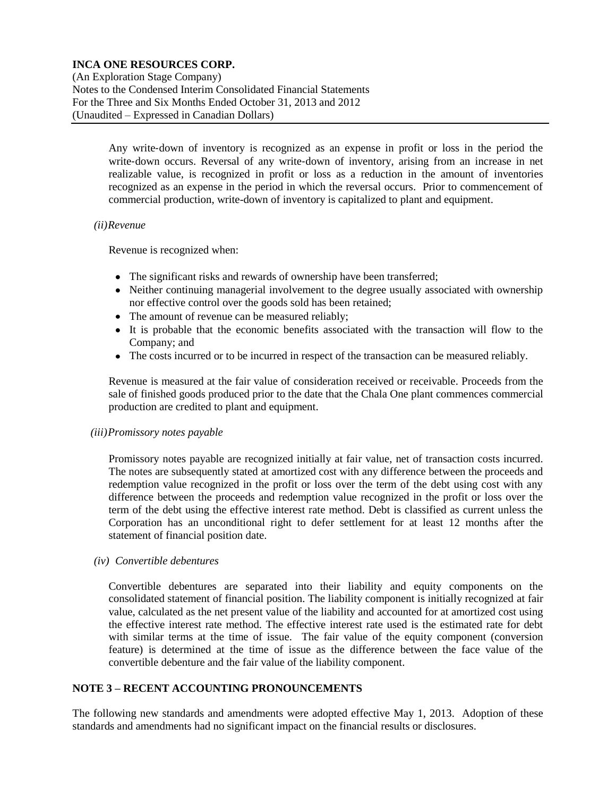(An Exploration Stage Company) Notes to the Condensed Interim Consolidated Financial Statements For the Three and Six Months Ended October 31, 2013 and 2012 (Unaudited – Expressed in Canadian Dollars)

> Any write‐down of inventory is recognized as an expense in profit or loss in the period the write-down occurs. Reversal of any write-down of inventory, arising from an increase in net realizable value, is recognized in profit or loss as a reduction in the amount of inventories recognized as an expense in the period in which the reversal occurs. Prior to commencement of commercial production, write-down of inventory is capitalized to plant and equipment.

### *(ii)Revenue*

Revenue is recognized when:

- The significant risks and rewards of ownership have been transferred;
- Neither continuing managerial involvement to the degree usually associated with ownership nor effective control over the goods sold has been retained;
- The amount of revenue can be measured reliably;
- It is probable that the economic benefits associated with the transaction will flow to the Company; and
- The costs incurred or to be incurred in respect of the transaction can be measured reliably.

Revenue is measured at the fair value of consideration received or receivable. Proceeds from the sale of finished goods produced prior to the date that the Chala One plant commences commercial production are credited to plant and equipment.

#### *(iii)Promissory notes payable*

Promissory notes payable are recognized initially at fair value, net of transaction costs incurred. The notes are subsequently stated at amortized cost with any difference between the proceeds and redemption value recognized in the profit or loss over the term of the debt using cost with any difference between the proceeds and redemption value recognized in the profit or loss over the term of the debt using the effective interest rate method. Debt is classified as current unless the Corporation has an unconditional right to defer settlement for at least 12 months after the statement of financial position date.

#### *(iv) Convertible debentures*

Convertible debentures are separated into their liability and equity components on the consolidated statement of financial position. The liability component is initially recognized at fair value, calculated as the net present value of the liability and accounted for at amortized cost using the effective interest rate method. The effective interest rate used is the estimated rate for debt with similar terms at the time of issue. The fair value of the equity component (conversion feature) is determined at the time of issue as the difference between the face value of the convertible debenture and the fair value of the liability component.

## **NOTE 3 – RECENT ACCOUNTING PRONOUNCEMENTS**

The following new standards and amendments were adopted effective May 1, 2013. Adoption of these standards and amendments had no significant impact on the financial results or disclosures.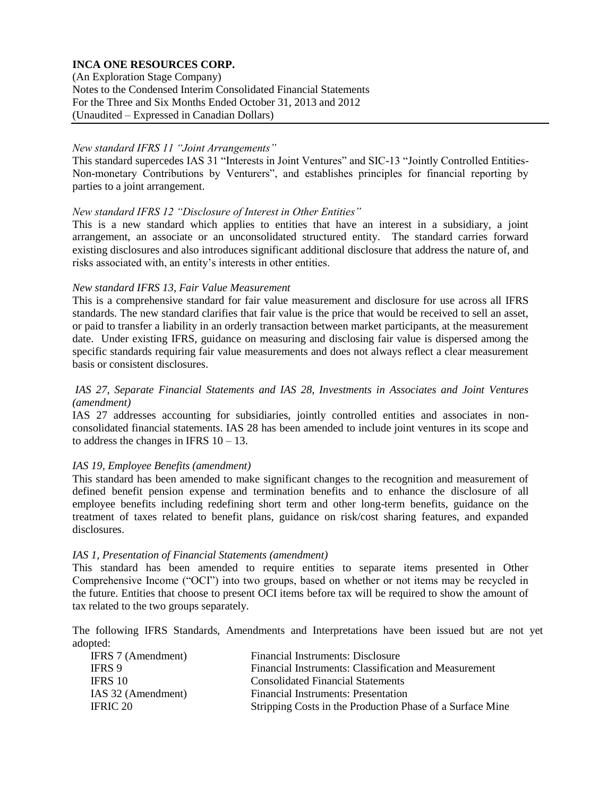(An Exploration Stage Company) Notes to the Condensed Interim Consolidated Financial Statements For the Three and Six Months Ended October 31, 2013 and 2012 (Unaudited – Expressed in Canadian Dollars)

### *New standard IFRS 11 "Joint Arrangements"*

This standard supercedes IAS 31 "Interests in Joint Ventures" and SIC-13 "Jointly Controlled Entities-Non-monetary Contributions by Venturers", and establishes principles for financial reporting by parties to a joint arrangement.

### *New standard IFRS 12 "Disclosure of Interest in Other Entities"*

This is a new standard which applies to entities that have an interest in a subsidiary, a joint arrangement, an associate or an unconsolidated structured entity. The standard carries forward existing disclosures and also introduces significant additional disclosure that address the nature of, and risks associated with, an entity's interests in other entities.

### *New standard IFRS 13, Fair Value Measurement*

This is a comprehensive standard for fair value measurement and disclosure for use across all IFRS standards. The new standard clarifies that fair value is the price that would be received to sell an asset, or paid to transfer a liability in an orderly transaction between market participants, at the measurement date. Under existing IFRS, guidance on measuring and disclosing fair value is dispersed among the specific standards requiring fair value measurements and does not always reflect a clear measurement basis or consistent disclosures.

## *IAS 27, Separate Financial Statements and IAS 28, Investments in Associates and Joint Ventures (amendment)*

IAS 27 addresses accounting for subsidiaries, jointly controlled entities and associates in nonconsolidated financial statements. IAS 28 has been amended to include joint ventures in its scope and to address the changes in IFRS  $10 - 13$ .

## *IAS 19, Employee Benefits (amendment)*

This standard has been amended to make significant changes to the recognition and measurement of defined benefit pension expense and termination benefits and to enhance the disclosure of all employee benefits including redefining short term and other long-term benefits, guidance on the treatment of taxes related to benefit plans, guidance on risk/cost sharing features, and expanded disclosures.

#### *IAS 1, Presentation of Financial Statements (amendment)*

This standard has been amended to require entities to separate items presented in Other Comprehensive Income ("OCI") into two groups, based on whether or not items may be recycled in the future. Entities that choose to present OCI items before tax will be required to show the amount of tax related to the two groups separately.

The following IFRS Standards, Amendments and Interpretations have been issued but are not yet adopted:

| IFRS 7 (Amendment) | Financial Instruments: Disclosure                         |
|--------------------|-----------------------------------------------------------|
| <b>IFRS</b> 9      | Financial Instruments: Classification and Measurement     |
| IFRS 10            | Consolidated Financial Statements                         |
| IAS 32 (Amendment) | Financial Instruments: Presentation                       |
| IFRIC 20           | Stripping Costs in the Production Phase of a Surface Mine |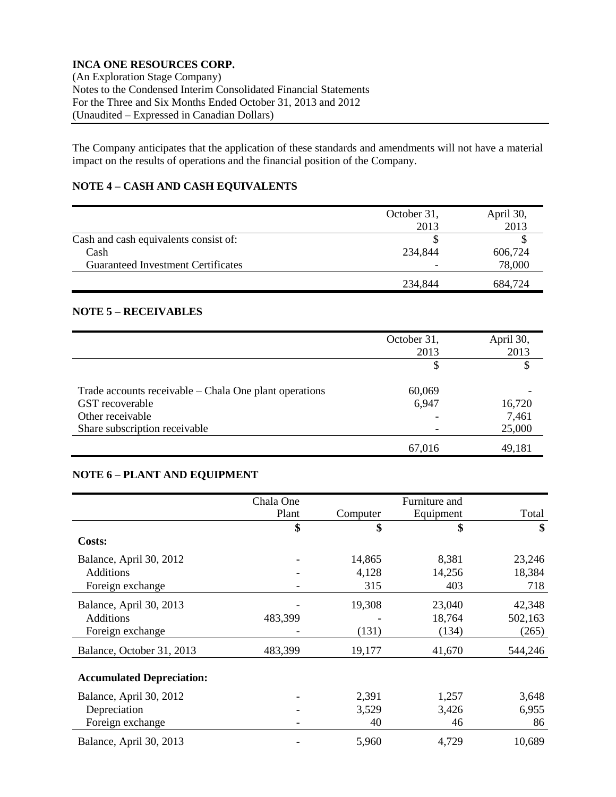(An Exploration Stage Company) Notes to the Condensed Interim Consolidated Financial Statements For the Three and Six Months Ended October 31, 2013 and 2012 (Unaudited – Expressed in Canadian Dollars)

The Company anticipates that the application of these standards and amendments will not have a material impact on the results of operations and the financial position of the Company.

# **NOTE 4 – CASH AND CASH EQUIVALENTS**

|                                       | October 31, | April 30, |
|---------------------------------------|-------------|-----------|
|                                       | 2013        | 2013      |
| Cash and cash equivalents consist of: |             |           |
| Cash                                  | 234,844     | 606,724   |
| Guaranteed Investment Certificates    |             | 78,000    |
|                                       | 234,844     | 684,724   |

# **NOTE 5 – RECEIVABLES**

|                                                        | October 31,<br>2013 | April 30,<br>2013 |
|--------------------------------------------------------|---------------------|-------------------|
|                                                        | \$                  |                   |
| Trade accounts receivable – Chala One plant operations | 60,069              |                   |
| GST recoverable                                        | 6,947               | 16,720            |
| Other receivable                                       |                     | 7,461             |
| Share subscription receivable                          |                     | 25,000            |
|                                                        | 67,016              | 49,181            |

## **NOTE 6 – PLANT AND EQUIPMENT**

|                                  | Chala One |          | Furniture and |         |
|----------------------------------|-----------|----------|---------------|---------|
|                                  | Plant     | Computer | Equipment     | Total   |
|                                  | \$        | \$       | \$            | \$      |
| Costs:                           |           |          |               |         |
| Balance, April 30, 2012          |           | 14,865   | 8,381         | 23,246  |
| <b>Additions</b>                 |           | 4,128    | 14,256        | 18,384  |
| Foreign exchange                 |           | 315      | 403           | 718     |
| Balance, April 30, 2013          |           | 19,308   | 23,040        | 42,348  |
| <b>Additions</b>                 | 483,399   |          | 18,764        | 502,163 |
| Foreign exchange                 |           | (131)    | (134)         | (265)   |
| Balance, October 31, 2013        | 483,399   | 19,177   | 41,670        | 544,246 |
| <b>Accumulated Depreciation:</b> |           |          |               |         |
| Balance, April 30, 2012          |           | 2,391    | 1,257         | 3,648   |
| Depreciation                     |           | 3,529    | 3,426         | 6,955   |
| Foreign exchange                 |           | 40       | 46            | 86      |
| Balance, April 30, 2013          |           | 5,960    | 4,729         | 10,689  |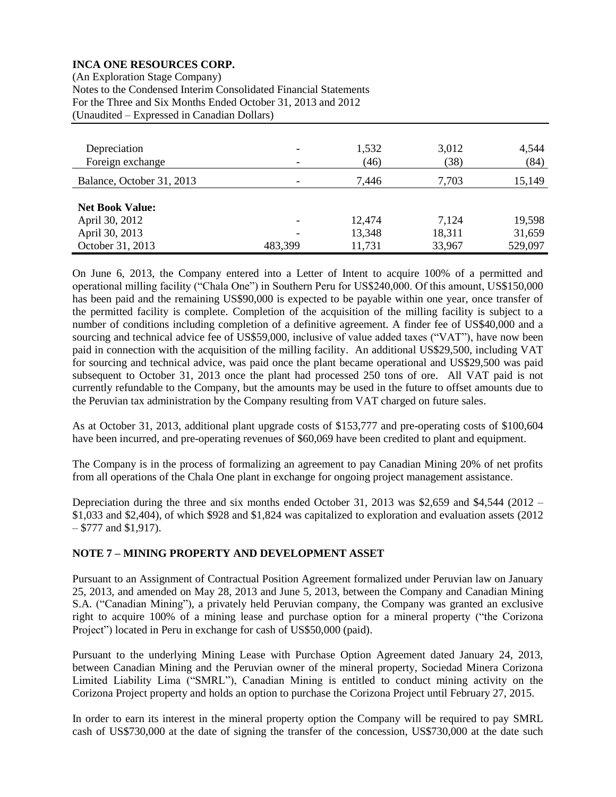(An Exploration Stage Company) Notes to the Condensed Interim Consolidated Financial Statements For the Three and Six Months Ended October 31, 2013 and 2012 (Unaudited – Expressed in Canadian Dollars)

| Depreciation<br>Foreign exchange | -<br>۰  | 1,532<br>(46) | 3,012<br>(38) | 4,544<br>(84) |
|----------------------------------|---------|---------------|---------------|---------------|
| Balance, October 31, 2013        |         | 7,446         | 7,703         | 15,149        |
| <b>Net Book Value:</b>           |         |               |               |               |
| April 30, 2012                   |         | 12,474        | 7,124         | 19,598        |
| April 30, 2013                   |         | 13,348        | 18,311        | 31,659        |
| October 31, 2013                 | 483,399 | 11,731        | 33,967        | 529,097       |

On June 6, 2013, the Company entered into a Letter of Intent to acquire 100% of a permitted and operational milling facility ("Chala One") in Southern Peru for US\$240,000. Of this amount, US\$150,000 has been paid and the remaining US\$90,000 is expected to be payable within one year, once transfer of the permitted facility is complete. Completion of the acquisition of the milling facility is subject to a number of conditions including completion of a definitive agreement. A finder fee of US\$40,000 and a sourcing and technical advice fee of US\$59,000, inclusive of value added taxes ("VAT"), have now been paid in connection with the acquisition of the milling facility. An additional US\$29,500, including VAT for sourcing and technical advice, was paid once the plant became operational and US\$29,500 was paid subsequent to October 31, 2013 once the plant had processed 250 tons of ore. All VAT paid is not currently refundable to the Company, but the amounts may be used in the future to offset amounts due to the Peruvian tax administration by the Company resulting from VAT charged on future sales.

As at October 31, 2013, additional plant upgrade costs of \$153,777 and pre-operating costs of \$100,604 have been incurred, and pre-operating revenues of \$60,069 have been credited to plant and equipment.

The Company is in the process of formalizing an agreement to pay Canadian Mining 20% of net profits from all operations of the Chala One plant in exchange for ongoing project management assistance.

Depreciation during the three and six months ended October 31, 2013 was \$2,659 and \$4,544 (2012 – \$1,033 and \$2,404), of which \$928 and \$1,824 was capitalized to exploration and evaluation assets (2012 – \$777 and \$1,917).

## **NOTE 7 – MINING PROPERTY AND DEVELOPMENT ASSET**

Pursuant to an Assignment of Contractual Position Agreement formalized under Peruvian law on January 25, 2013, and amended on May 28, 2013 and June 5, 2013, between the Company and Canadian Mining S.A. ("Canadian Mining"), a privately held Peruvian company, the Company was granted an exclusive right to acquire 100% of a mining lease and purchase option for a mineral property ("the Corizona Project") located in Peru in exchange for cash of US\$50,000 (paid).

Pursuant to the underlying Mining Lease with Purchase Option Agreement dated January 24, 2013, between Canadian Mining and the Peruvian owner of the mineral property, Sociedad Minera Corizona Limited Liability Lima ("SMRL"), Canadian Mining is entitled to conduct mining activity on the Corizona Project property and holds an option to purchase the Corizona Project until February 27, 2015.

In order to earn its interest in the mineral property option the Company will be required to pay SMRL cash of US\$730,000 at the date of signing the transfer of the concession, US\$730,000 at the date such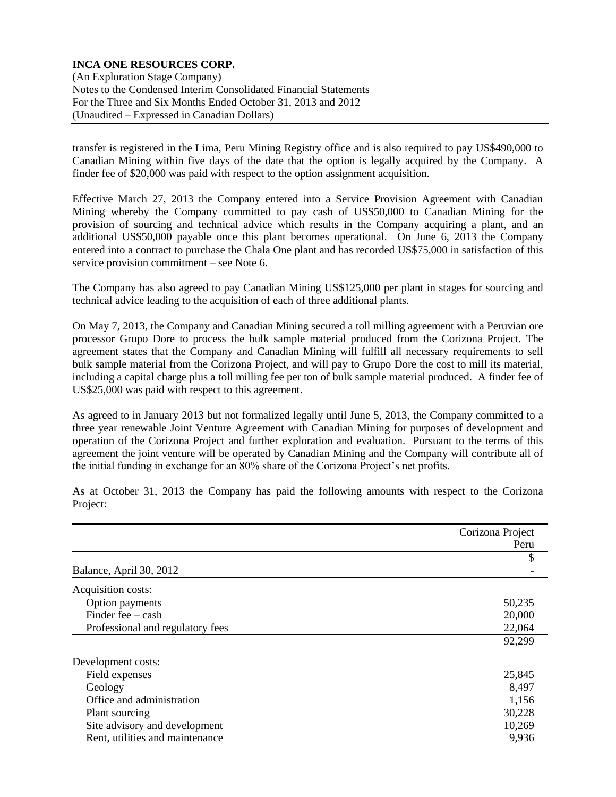(An Exploration Stage Company) Notes to the Condensed Interim Consolidated Financial Statements For the Three and Six Months Ended October 31, 2013 and 2012 (Unaudited – Expressed in Canadian Dollars)

transfer is registered in the Lima, Peru Mining Registry office and is also required to pay US\$490,000 to Canadian Mining within five days of the date that the option is legally acquired by the Company. A finder fee of \$20,000 was paid with respect to the option assignment acquisition.

Effective March 27, 2013 the Company entered into a Service Provision Agreement with Canadian Mining whereby the Company committed to pay cash of US\$50,000 to Canadian Mining for the provision of sourcing and technical advice which results in the Company acquiring a plant, and an additional US\$50,000 payable once this plant becomes operational. On June 6, 2013 the Company entered into a contract to purchase the Chala One plant and has recorded US\$75,000 in satisfaction of this service provision commitment – see Note 6.

The Company has also agreed to pay Canadian Mining US\$125,000 per plant in stages for sourcing and technical advice leading to the acquisition of each of three additional plants.

On May 7, 2013, the Company and Canadian Mining secured a toll milling agreement with a Peruvian ore processor Grupo Dore to process the bulk sample material produced from the Corizona Project. The agreement states that the Company and Canadian Mining will fulfill all necessary requirements to sell bulk sample material from the Corizona Project, and will pay to Grupo Dore the cost to mill its material, including a capital charge plus a toll milling fee per ton of bulk sample material produced. A finder fee of US\$25,000 was paid with respect to this agreement.

As agreed to in January 2013 but not formalized legally until June 5, 2013, the Company committed to a three year renewable Joint Venture Agreement with Canadian Mining for purposes of development and operation of the Corizona Project and further exploration and evaluation. Pursuant to the terms of this agreement the joint venture will be operated by Canadian Mining and the Company will contribute all of the initial funding in exchange for an 80% share of the Corizona Project's net profits.

As at October 31, 2013 the Company has paid the following amounts with respect to the Corizona Project:

|                                  | Corizona Project |
|----------------------------------|------------------|
|                                  | Peru             |
|                                  | \$               |
| Balance, April 30, 2012          |                  |
| Acquisition costs:               |                  |
| Option payments                  | 50,235           |
| Finder fee $-\cosh$              | 20,000           |
| Professional and regulatory fees | 22,064           |
|                                  | 92,299           |
| Development costs:               |                  |
| Field expenses                   | 25,845           |
| Geology                          | 8,497            |
| Office and administration        | 1,156            |
| Plant sourcing                   | 30,228           |
| Site advisory and development    | 10,269           |
| Rent, utilities and maintenance  | 9,936            |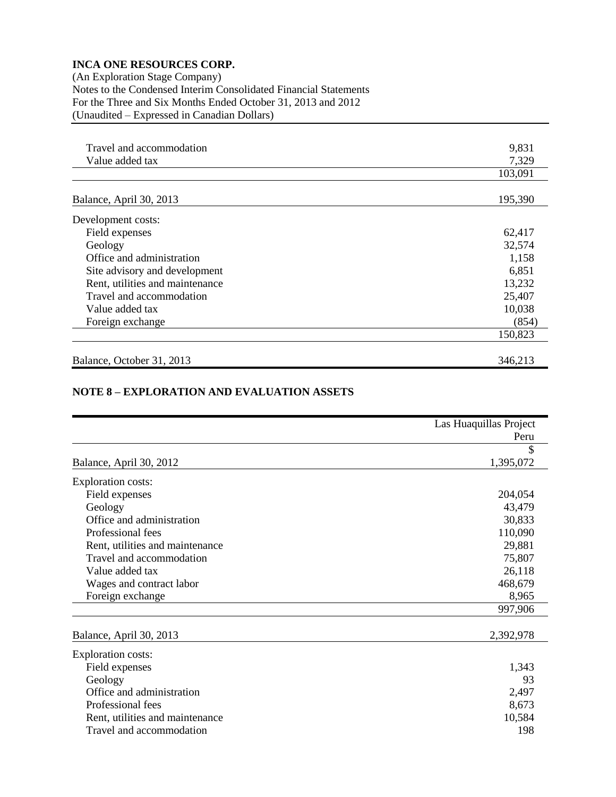(An Exploration Stage Company) Notes to the Condensed Interim Consolidated Financial Statements For the Three and Six Months Ended October 31, 2013 and 2012 (Unaudited – Expressed in Canadian Dollars)

| Travel and accommodation        | 9,831   |
|---------------------------------|---------|
| Value added tax                 | 7,329   |
|                                 | 103,091 |
|                                 |         |
| Balance, April 30, 2013         | 195,390 |
| Development costs:              |         |
| Field expenses                  | 62,417  |
| Geology                         | 32,574  |
| Office and administration       | 1,158   |
| Site advisory and development   | 6,851   |
| Rent, utilities and maintenance | 13,232  |
| Travel and accommodation        | 25,407  |
| Value added tax                 | 10,038  |
| Foreign exchange                | (854)   |
|                                 | 150,823 |
| Balance, October 31, 2013       | 346,213 |

### **NOTE 8 – EXPLORATION AND EVALUATION ASSETS**

|                                 | Las Huaquillas Project |
|---------------------------------|------------------------|
|                                 | Peru                   |
|                                 | \$                     |
| Balance, April 30, 2012         | 1,395,072              |
| <b>Exploration costs:</b>       |                        |
| Field expenses                  | 204,054                |
| Geology                         | 43,479                 |
| Office and administration       | 30,833                 |
| Professional fees               | 110,090                |
| Rent, utilities and maintenance | 29,881                 |
| Travel and accommodation        | 75,807                 |
| Value added tax                 | 26,118                 |
| Wages and contract labor        | 468,679                |
| Foreign exchange                | 8,965                  |
|                                 | 997,906                |
| Balance, April 30, 2013         | 2,392,978              |
| <b>Exploration costs:</b>       |                        |
| Field expenses                  | 1,343                  |
| Geology                         | 93                     |
| Office and administration       | 2,497                  |
| Professional fees               | 8,673                  |
| Rent, utilities and maintenance | 10,584                 |
| Travel and accommodation        | 198                    |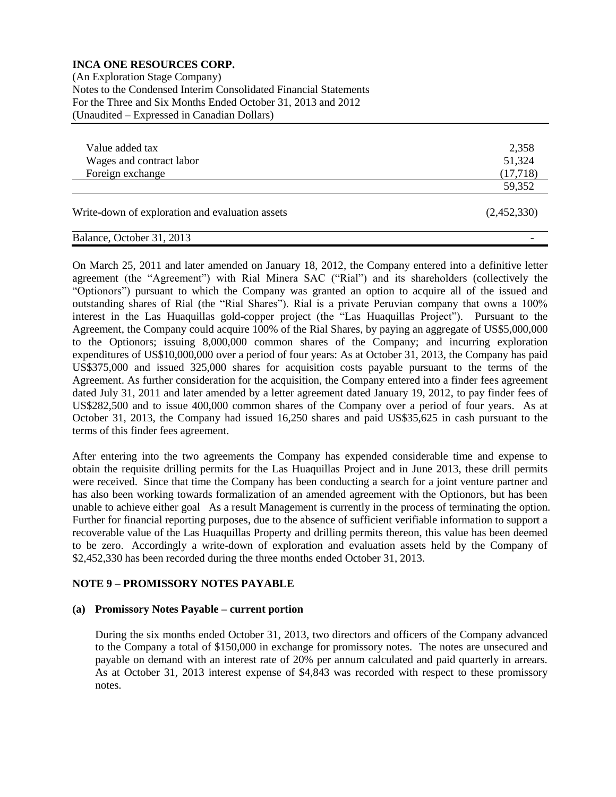(An Exploration Stage Company) Notes to the Condensed Interim Consolidated Financial Statements For the Three and Six Months Ended October 31, 2013 and 2012 (Unaudited – Expressed in Canadian Dollars)

| Value added tax                                 | 2,358       |
|-------------------------------------------------|-------------|
| Wages and contract labor                        | 51,324      |
| Foreign exchange                                | (17,718)    |
|                                                 | 59,352      |
| Write-down of exploration and evaluation assets | (2,452,330) |
| Balance, October 31, 2013                       |             |

On March 25, 2011 and later amended on January 18, 2012, the Company entered into a definitive letter agreement (the "Agreement") with Rial Minera SAC ("Rial") and its shareholders (collectively the "Optionors") pursuant to which the Company was granted an option to acquire all of the issued and outstanding shares of Rial (the "Rial Shares"). Rial is a private Peruvian company that owns a 100% interest in the Las Huaquillas gold-copper project (the "Las Huaquillas Project"). Pursuant to the Agreement, the Company could acquire 100% of the Rial Shares, by paying an aggregate of US\$5,000,000 to the Optionors; issuing 8,000,000 common shares of the Company; and incurring exploration expenditures of US\$10,000,000 over a period of four years: As at October 31, 2013, the Company has paid US\$375,000 and issued 325,000 shares for acquisition costs payable pursuant to the terms of the Agreement. As further consideration for the acquisition, the Company entered into a finder fees agreement dated July 31, 2011 and later amended by a letter agreement dated January 19, 2012, to pay finder fees of US\$282,500 and to issue 400,000 common shares of the Company over a period of four years. As at October 31, 2013, the Company had issued 16,250 shares and paid US\$35,625 in cash pursuant to the terms of this finder fees agreement.

After entering into the two agreements the Company has expended considerable time and expense to obtain the requisite drilling permits for the Las Huaquillas Project and in June 2013, these drill permits were received. Since that time the Company has been conducting a search for a joint venture partner and has also been working towards formalization of an amended agreement with the Optionors, but has been unable to achieve either goal As a result Management is currently in the process of terminating the option. Further for financial reporting purposes, due to the absence of sufficient verifiable information to support a recoverable value of the Las Huaquillas Property and drilling permits thereon, this value has been deemed to be zero. Accordingly a write-down of exploration and evaluation assets held by the Company of \$2,452,330 has been recorded during the three months ended October 31, 2013.

# **NOTE 9 – PROMISSORY NOTES PAYABLE**

## **(a) Promissory Notes Payable – current portion**

During the six months ended October 31, 2013, two directors and officers of the Company advanced to the Company a total of \$150,000 in exchange for promissory notes. The notes are unsecured and payable on demand with an interest rate of 20% per annum calculated and paid quarterly in arrears. As at October 31, 2013 interest expense of \$4,843 was recorded with respect to these promissory notes.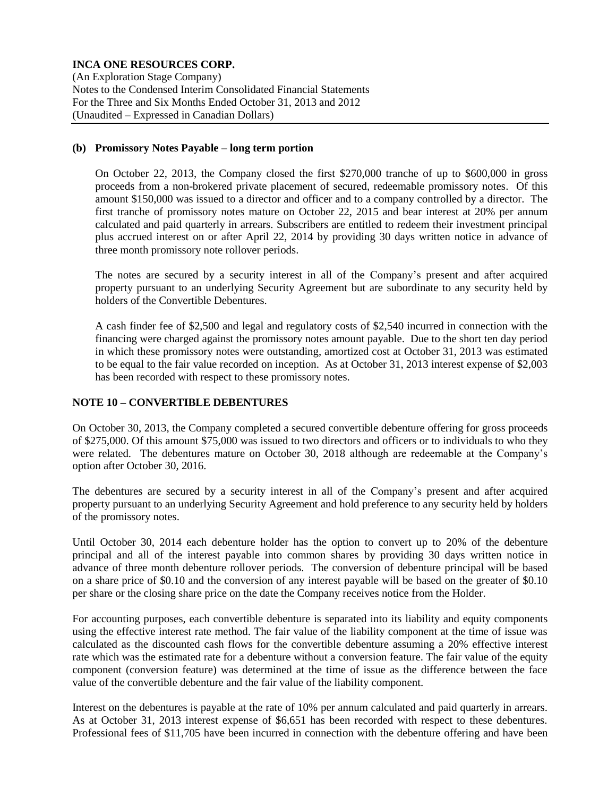(An Exploration Stage Company) Notes to the Condensed Interim Consolidated Financial Statements For the Three and Six Months Ended October 31, 2013 and 2012 (Unaudited – Expressed in Canadian Dollars)

#### **(b) Promissory Notes Payable – long term portion**

On October 22, 2013, the Company closed the first \$270,000 tranche of up to \$600,000 in gross proceeds from a non-brokered private placement of secured, redeemable promissory notes. Of this amount \$150,000 was issued to a director and officer and to a company controlled by a director. The first tranche of promissory notes mature on October 22, 2015 and bear interest at 20% per annum calculated and paid quarterly in arrears. Subscribers are entitled to redeem their investment principal plus accrued interest on or after April 22, 2014 by providing 30 days written notice in advance of three month promissory note rollover periods.

The notes are secured by a security interest in all of the Company's present and after acquired property pursuant to an underlying Security Agreement but are subordinate to any security held by holders of the Convertible Debentures.

A cash finder fee of \$2,500 and legal and regulatory costs of \$2,540 incurred in connection with the financing were charged against the promissory notes amount payable. Due to the short ten day period in which these promissory notes were outstanding, amortized cost at October 31, 2013 was estimated to be equal to the fair value recorded on inception. As at October 31, 2013 interest expense of \$2,003 has been recorded with respect to these promissory notes.

## **NOTE 10 – CONVERTIBLE DEBENTURES**

On October 30, 2013, the Company completed a secured convertible debenture offering for gross proceeds of \$275,000. Of this amount \$75,000 was issued to two directors and officers or to individuals to who they were related. The debentures mature on October 30, 2018 although are redeemable at the Company's option after October 30, 2016.

The debentures are secured by a security interest in all of the Company's present and after acquired property pursuant to an underlying Security Agreement and hold preference to any security held by holders of the promissory notes.

Until October 30, 2014 each debenture holder has the option to convert up to 20% of the debenture principal and all of the interest payable into common shares by providing 30 days written notice in advance of three month debenture rollover periods. The conversion of debenture principal will be based on a share price of \$0.10 and the conversion of any interest payable will be based on the greater of \$0.10 per share or the closing share price on the date the Company receives notice from the Holder.

For accounting purposes, each convertible debenture is separated into its liability and equity components using the effective interest rate method. The fair value of the liability component at the time of issue was calculated as the discounted cash flows for the convertible debenture assuming a 20% effective interest rate which was the estimated rate for a debenture without a conversion feature. The fair value of the equity component (conversion feature) was determined at the time of issue as the difference between the face value of the convertible debenture and the fair value of the liability component.

Interest on the debentures is payable at the rate of 10% per annum calculated and paid quarterly in arrears. As at October 31, 2013 interest expense of \$6,651 has been recorded with respect to these debentures. Professional fees of \$11,705 have been incurred in connection with the debenture offering and have been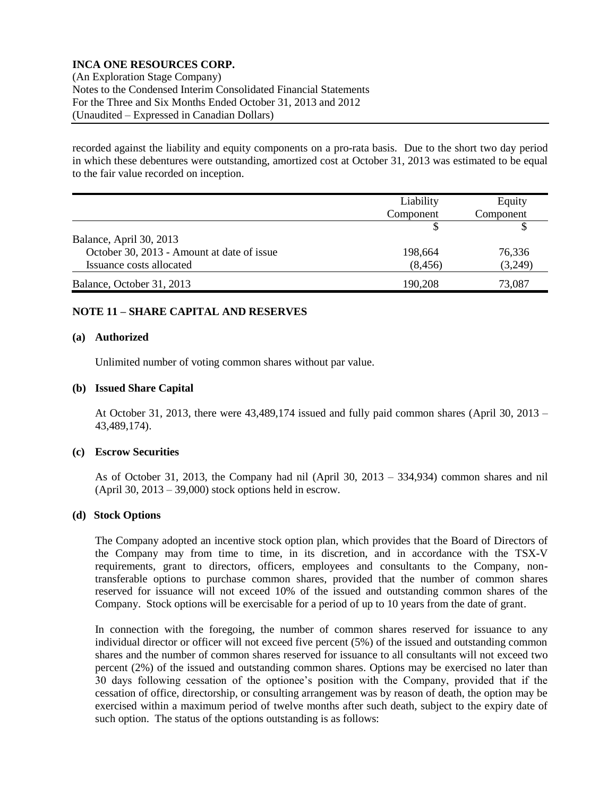(An Exploration Stage Company) Notes to the Condensed Interim Consolidated Financial Statements For the Three and Six Months Ended October 31, 2013 and 2012 (Unaudited – Expressed in Canadian Dollars)

recorded against the liability and equity components on a pro-rata basis. Due to the short two day period in which these debentures were outstanding, amortized cost at October 31, 2013 was estimated to be equal to the fair value recorded on inception.

|                                            | Liability | Equity    |
|--------------------------------------------|-----------|-----------|
|                                            | Component | Component |
|                                            |           |           |
| Balance, April 30, 2013                    |           |           |
| October 30, 2013 - Amount at date of issue | 198,664   | 76.336    |
| Issuance costs allocated                   | (8, 456)  | (3,249)   |
| Balance, October 31, 2013                  | 190,208   | 73.087    |

## **NOTE 11 – SHARE CAPITAL AND RESERVES**

#### **(a) Authorized**

Unlimited number of voting common shares without par value.

#### **(b) Issued Share Capital**

At October 31, 2013, there were 43,489,174 issued and fully paid common shares (April 30, 2013 – 43,489,174).

#### **(c) Escrow Securities**

As of October 31, 2013, the Company had nil (April 30, 2013 – 334,934) common shares and nil (April 30,  $2013 - 39,000$ ) stock options held in escrow.

#### **(d) Stock Options**

The Company adopted an incentive stock option plan, which provides that the Board of Directors of the Company may from time to time, in its discretion, and in accordance with the TSX-V requirements, grant to directors, officers, employees and consultants to the Company, nontransferable options to purchase common shares, provided that the number of common shares reserved for issuance will not exceed 10% of the issued and outstanding common shares of the Company. Stock options will be exercisable for a period of up to 10 years from the date of grant.

In connection with the foregoing, the number of common shares reserved for issuance to any individual director or officer will not exceed five percent (5%) of the issued and outstanding common shares and the number of common shares reserved for issuance to all consultants will not exceed two percent (2%) of the issued and outstanding common shares. Options may be exercised no later than 30 days following cessation of the optionee's position with the Company, provided that if the cessation of office, directorship, or consulting arrangement was by reason of death, the option may be exercised within a maximum period of twelve months after such death, subject to the expiry date of such option. The status of the options outstanding is as follows: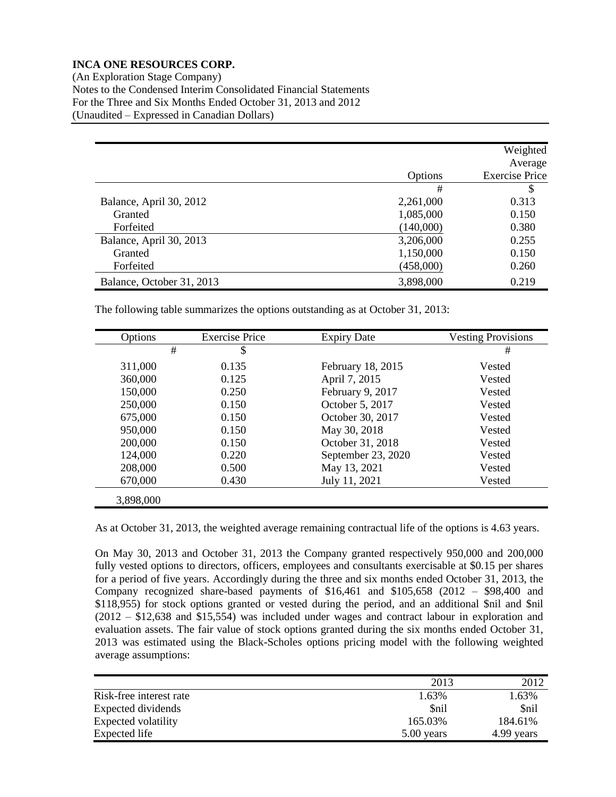(An Exploration Stage Company) Notes to the Condensed Interim Consolidated Financial Statements For the Three and Six Months Ended October 31, 2013 and 2012 (Unaudited – Expressed in Canadian Dollars)

|                           |           | Weighted<br>Average   |
|---------------------------|-----------|-----------------------|
|                           | Options   | <b>Exercise Price</b> |
|                           | #         | \$                    |
| Balance, April 30, 2012   | 2,261,000 | 0.313                 |
| Granted                   | 1,085,000 | 0.150                 |
| Forfeited                 | (140,000) | 0.380                 |
| Balance, April 30, 2013   | 3,206,000 | 0.255                 |
| Granted                   | 1,150,000 | 0.150                 |
| Forfeited                 | (458,000) | 0.260                 |
| Balance, October 31, 2013 | 3,898,000 | 0.219                 |

The following table summarizes the options outstanding as at October 31, 2013:

| Options   | <b>Exercise Price</b> | <b>Expiry Date</b> | <b>Vesting Provisions</b> |
|-----------|-----------------------|--------------------|---------------------------|
| #         | \$                    |                    | #                         |
| 311,000   | 0.135                 | February 18, 2015  | Vested                    |
| 360,000   | 0.125                 | April 7, 2015      | Vested                    |
| 150,000   | 0.250                 | February 9, 2017   | Vested                    |
| 250,000   | 0.150                 | October 5, 2017    | Vested                    |
| 675,000   | 0.150                 | October 30, 2017   | Vested                    |
| 950,000   | 0.150                 | May 30, 2018       | Vested                    |
| 200,000   | 0.150                 | October 31, 2018   | Vested                    |
| 124,000   | 0.220                 | September 23, 2020 | Vested                    |
| 208,000   | 0.500                 | May 13, 2021       | Vested                    |
| 670,000   | 0.430                 | July 11, 2021      | Vested                    |
| 3,898,000 |                       |                    |                           |

As at October 31, 2013, the weighted average remaining contractual life of the options is 4.63 years.

On May 30, 2013 and October 31, 2013 the Company granted respectively 950,000 and 200,000 fully vested options to directors, officers, employees and consultants exercisable at \$0.15 per shares for a period of five years. Accordingly during the three and six months ended October 31, 2013, the Company recognized share-based payments of \$16,461 and \$105,658 (2012 – \$98,400 and \$118,955) for stock options granted or vested during the period, and an additional \$nil and \$nil (2012 – \$12,638 and \$15,554) was included under wages and contract labour in exploration and evaluation assets. The fair value of stock options granted during the six months ended October 31, 2013 was estimated using the Black-Scholes options pricing model with the following weighted average assumptions:

|                         | 2013       | 2012        |
|-------------------------|------------|-------------|
| Risk-free interest rate | 1.63%      | 1.63%       |
| Expected dividends      | \$nil      | <b>Snil</b> |
| Expected volatility     | 165.03%    | 184.61%     |
| Expected life           | 5.00 years | 4.99 years  |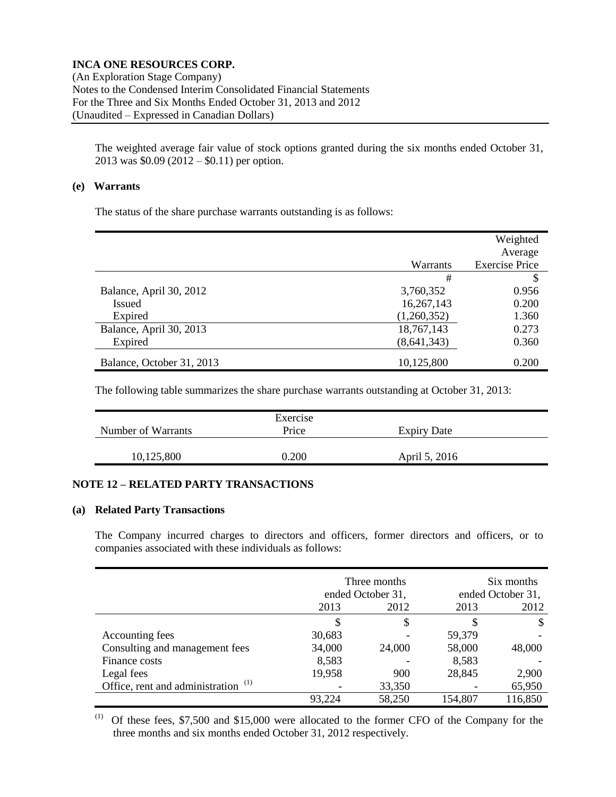(An Exploration Stage Company) Notes to the Condensed Interim Consolidated Financial Statements For the Three and Six Months Ended October 31, 2013 and 2012 (Unaudited – Expressed in Canadian Dollars)

The weighted average fair value of stock options granted during the six months ended October 31, 2013 was \$0.09 (2012 – \$0.11) per option.

#### **(e) Warrants**

The status of the share purchase warrants outstanding is as follows:

|                           | Warrants      | Weighted<br>Average<br><b>Exercise Price</b> |
|---------------------------|---------------|----------------------------------------------|
|                           | #             |                                              |
| Balance, April 30, 2012   | 3,760,352     | 0.956                                        |
| <b>Issued</b>             | 16,267,143    | 0.200                                        |
| Expired                   | (1,260,352)   | 1.360                                        |
| Balance, April 30, 2013   | 18,767,143    | 0.273                                        |
| Expired                   | (8, 641, 343) | 0.360                                        |
| Balance, October 31, 2013 | 10,125,800    | 0.200                                        |

The following table summarizes the share purchase warrants outstanding at October 31, 2013:

|                    | Exercise |                    |  |
|--------------------|----------|--------------------|--|
| Number of Warrants | Price    | <b>Expiry Date</b> |  |
|                    |          |                    |  |
| 10,125,800         | 0.200    | April 5, 2016      |  |
|                    |          |                    |  |

# **NOTE 12 – RELATED PARTY TRANSACTIONS**

### **(a) Related Party Transactions**

The Company incurred charges to directors and officers, former directors and officers, or to companies associated with these individuals as follows:

|                                        |        | Three months<br>ended October 31, |         | Six months<br>ended October 31, |
|----------------------------------------|--------|-----------------------------------|---------|---------------------------------|
|                                        | 2013   | 2012                              | 2013    | 2012                            |
|                                        | S      | \$                                |         |                                 |
| Accounting fees                        | 30,683 |                                   | 59,379  |                                 |
| Consulting and management fees         | 34,000 | 24,000                            | 58,000  | 48,000                          |
| Finance costs                          | 8,583  |                                   | 8,583   |                                 |
| Legal fees                             | 19,958 | 900                               | 28,845  | 2,900                           |
| (1)<br>Office, rent and administration |        | 33,350                            |         | 65,950                          |
|                                        | 93,224 | 58,250                            | 154,807 | 116,850                         |

(1) Of these fees, \$7,500 and \$15,000 were allocated to the former CFO of the Company for the three months and six months ended October 31, 2012 respectively.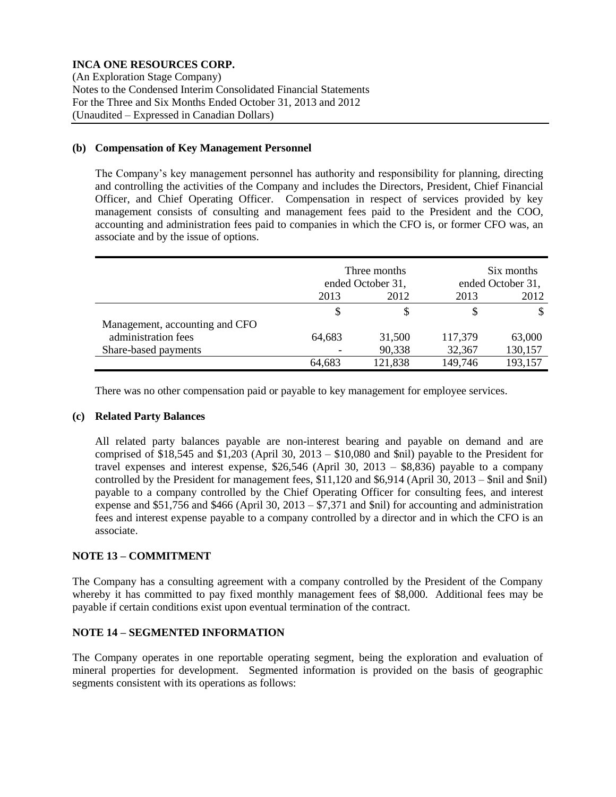(An Exploration Stage Company) Notes to the Condensed Interim Consolidated Financial Statements For the Three and Six Months Ended October 31, 2013 and 2012 (Unaudited – Expressed in Canadian Dollars)

### **(b) Compensation of Key Management Personnel**

The Company's key management personnel has authority and responsibility for planning, directing and controlling the activities of the Company and includes the Directors, President, Chief Financial Officer, and Chief Operating Officer. Compensation in respect of services provided by key management consists of consulting and management fees paid to the President and the COO, accounting and administration fees paid to companies in which the CFO is, or former CFO was, an associate and by the issue of options.

|                                |        | Three months<br>ended October 31, |         | Six months<br>ended October 31, |
|--------------------------------|--------|-----------------------------------|---------|---------------------------------|
|                                | 2013   | 2012                              | 2013    | 2012                            |
|                                | S      |                                   |         |                                 |
| Management, accounting and CFO |        |                                   |         |                                 |
| administration fees            | 64,683 | 31,500                            | 117,379 | 63,000                          |
| Share-based payments           |        | 90,338                            | 32,367  | 130,157                         |
|                                | 64,683 | 121,838                           | 149,746 | 193,157                         |

There was no other compensation paid or payable to key management for employee services.

## **(c) Related Party Balances**

All related party balances payable are non-interest bearing and payable on demand and are comprised of \$18,545 and \$1,203 (April 30, 2013 – \$10,080 and \$nil) payable to the President for travel expenses and interest expense, \$26,546 (April 30, 2013 – \$8,836) payable to a company controlled by the President for management fees, \$11,120 and \$6,914 (April 30, 2013 – \$nil and \$nil) payable to a company controlled by the Chief Operating Officer for consulting fees, and interest expense and  $$51,756$  and  $$466$  (April 30, 2013 –  $$7,371$  and  $$nil)$  for accounting and administration fees and interest expense payable to a company controlled by a director and in which the CFO is an associate.

## **NOTE 13 – COMMITMENT**

The Company has a consulting agreement with a company controlled by the President of the Company whereby it has committed to pay fixed monthly management fees of \$8,000. Additional fees may be payable if certain conditions exist upon eventual termination of the contract.

## **NOTE 14 – SEGMENTED INFORMATION**

The Company operates in one reportable operating segment, being the exploration and evaluation of mineral properties for development. Segmented information is provided on the basis of geographic segments consistent with its operations as follows: